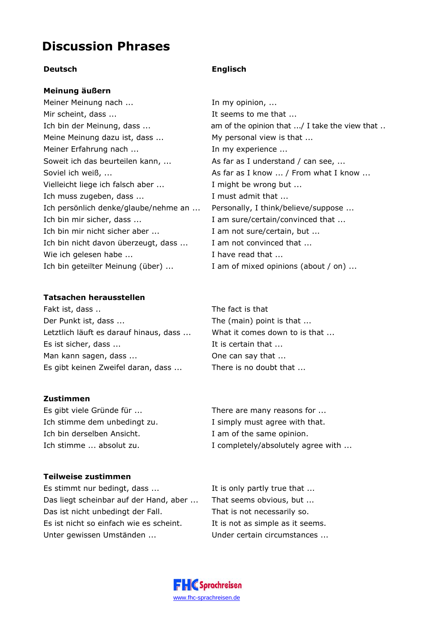# **Discussion Phrases**

# **Deutsch Englisch**

### **Meinung äußern**

Meiner Meinung nach ... **In my opinion, ...** Mir scheint, dass ... The seems to me that ... Meine Meinung dazu ist, dass ... My personal view is that ... Meiner Erfahrung nach ... In my experience ... Soweit ich das beurteilen kann, ... As far as I understand / can see, ... Vielleicht liege ich falsch aber ... I might be wrong but ... Ich muss zugeben, dass ... The state of the state of the state of the state of the state of the state of the state of the state of the state of the state of the state of the state of the state of the state of the state of Ich persönlich denke/glaube/nehme an ... Personally, I think/believe/suppose ... Ich bin mir sicher, dass ... The state of am sure/certain/convinced that ... Ich bin mir nicht sicher aber ... I am not sure/certain, but ... Ich bin nicht davon überzeugt, dass ... I am not convinced that ... Wie ich gelesen habe ... Thave read that ... Ich bin geteilter Meinung (über) ... I am of mixed opinions (about / on) ...

# **Tatsachen herausstellen**

Fakt ist, dass .. The fact is that Der Punkt ist, dass ... The (main) point is that ... Letztlich läuft es darauf hinaus, dass ... What it comes down to is that ... Es ist sicher, dass ... It is certain that ... Man kann sagen, dass ... Come Can say that ... Es gibt keinen Zweifel daran, dass ... There is no doubt that ...

# **Zustimmen**

Es gibt viele Gründe für ... There are many reasons for ... Ich stimme dem unbedingt zu. I simply must agree with that. Ich bin derselben Ansicht. I am of the same opinion.

Ich bin der Meinung, dass ... The am of the opinion that ... / I take the view that .. Soviel ich weiß, ...  $\qquad \qquad \qquad \qquad$  As far as I know ... / From what I know ...

Ich stimme ... absolut zu. I completely/absolutely agree with ...

#### **Teilweise zustimmen**

Es stimmt nur bedingt, dass ... It is only partly true that ... Das liegt scheinbar auf der Hand, aber ... That seems obvious, but ... Das ist nicht unbedingt der Fall. That is not necessarily so. Es ist nicht so einfach wie es scheint. It is not as simple as it seems. Unter gewissen Umständen ... Under certain circumstances ...